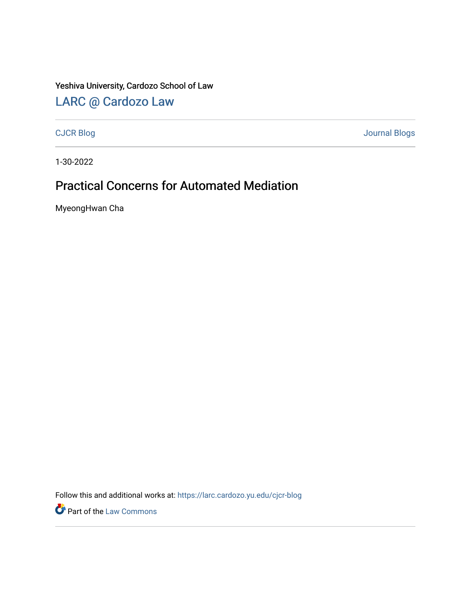### Yeshiva University, Cardozo School of Law

# [LARC @ Cardozo Law](https://larc.cardozo.yu.edu/)

[CJCR Blog](https://larc.cardozo.yu.edu/cjcr-blog) [Journal Blogs](https://larc.cardozo.yu.edu/journal-blogs) 

1-30-2022

# Practical Concerns for Automated Mediation

MyeongHwan Cha

Follow this and additional works at: [https://larc.cardozo.yu.edu/cjcr-blog](https://larc.cardozo.yu.edu/cjcr-blog?utm_source=larc.cardozo.yu.edu%2Fcjcr-blog%2F22&utm_medium=PDF&utm_campaign=PDFCoverPages) 

Part of the [Law Commons](http://network.bepress.com/hgg/discipline/578?utm_source=larc.cardozo.yu.edu%2Fcjcr-blog%2F22&utm_medium=PDF&utm_campaign=PDFCoverPages)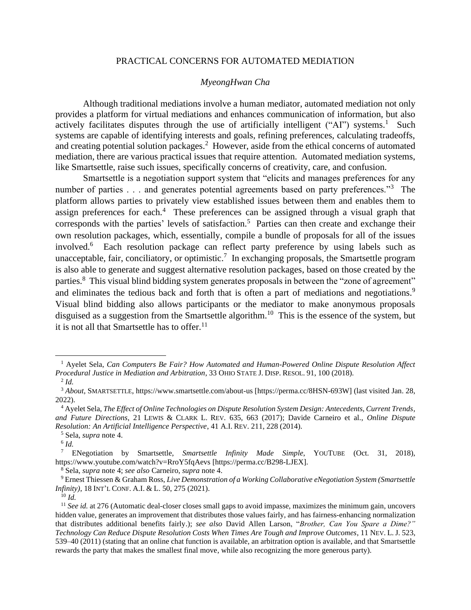#### PRACTICAL CONCERNS FOR AUTOMATED MEDIATION

#### *MyeongHwan Cha*

Although traditional mediations involve a human mediator, automated mediation not only provides a platform for virtual mediations and enhances communication of information, but also actively facilitates disputes through the use of artificially intelligent ("AI") systems.<sup>1</sup> Such systems are capable of identifying interests and goals, refining preferences, calculating tradeoffs, and creating potential solution packages.<sup>2</sup> However, aside from the ethical concerns of automated mediation, there are various practical issues that require attention. Automated mediation systems, like Smartsettle, raise such issues, specifically concerns of creativity, care, and confusion.

Smartsettle is a negotiation support system that "elicits and manages preferences for any number of parties . . . and generates potential agreements based on party preferences."<sup>3</sup> The platform allows parties to privately view established issues between them and enables them to assign preferences for each.<sup>4</sup> These preferences can be assigned through a visual graph that corresponds with the parties' levels of satisfaction.<sup>5</sup> Parties can then create and exchange their own resolution packages, which, essentially, compile a bundle of proposals for all of the issues involved.<sup>6</sup> Each resolution package can reflect party preference by using labels such as unacceptable, fair, conciliatory, or optimistic.<sup>7</sup> In exchanging proposals, the Smartsettle program is also able to generate and suggest alternative resolution packages, based on those created by the parties.<sup>8</sup> This visual blind bidding system generates proposals in between the "zone of agreement" and eliminates the tedious back and forth that is often a part of mediations and negotiations.<sup>9</sup> Visual blind bidding also allows participants or the mediator to make anonymous proposals disguised as a suggestion from the Smartsettle algorithm.<sup>10</sup> This is the essence of the system, but it is not all that Smartsettle has to offer.<sup>11</sup>

<sup>1</sup> Ayelet Sela, *Can Computers Be Fair? How Automated and Human-Powered Online Dispute Resolution Affect Procedural Justice in Mediation and Arbitration*, 33 OHIO STATE J. DISP. RESOL. 91, 100 (2018). 2 *Id.*

<sup>3</sup> *About*, SMARTSETTLE, https://www.smartsettle.com/about-us [https://perma.cc/8HSN-693W] (last visited Jan. 28, 2022).

<sup>4</sup> Ayelet Sela, *The Effect of Online Technologies on Dispute Resolution System Design: Antecedents, Current Trends, and Future Directions*, 21 LEWIS & CLARK L. REV. 635, 663 (2017); Davide Carneiro et al., *Online Dispute Resolution: An Artificial Intelligence Perspective*, 41 A.I. REV. 211, 228 (2014).

<sup>5</sup> Sela, *supra* note 4.

<sup>6</sup> *Id.*

<sup>7</sup> ENegotiation by Smartsettle, *Smartsettle Infinity Made Simple*, YOUTUBE (Oct. 31, 2018), https://www.youtube.com/watch?v=RroY5fqAevs [https://perma.cc/B298-LJEX].

<sup>8</sup> Sela, *supra* note 4; *see also* Carneiro, *supra* note 4.

<sup>9</sup> Ernest Thiessen & Graham Ross, *Live Demonstration of a Working Collaborative eNegotiation System (Smartsettle Infinity)*, 18 INT'L CONF. A.I. & L. 50, 275 (2021).

 $10$  *Id.* 

<sup>&</sup>lt;sup>11</sup> *See id.* at 276 (Automatic deal-closer closes small gaps to avoid impasse, maximizes the minimum gain, uncovers hidden value, generates an improvement that distributes those values fairly, and has fairness-enhancing normalization that distributes additional benefits fairly.); *see also* David Allen Larson, "*Brother, Can You Spare a Dime?" Technology Can Reduce Dispute Resolution Costs When Times Are Tough and Improve Outcomes*, 11 NEV. L. J. 523, 539–40 (2011) (stating that an online chat function is available, an arbitration option is available, and that Smartsettle rewards the party that makes the smallest final move, while also recognizing the more generous party).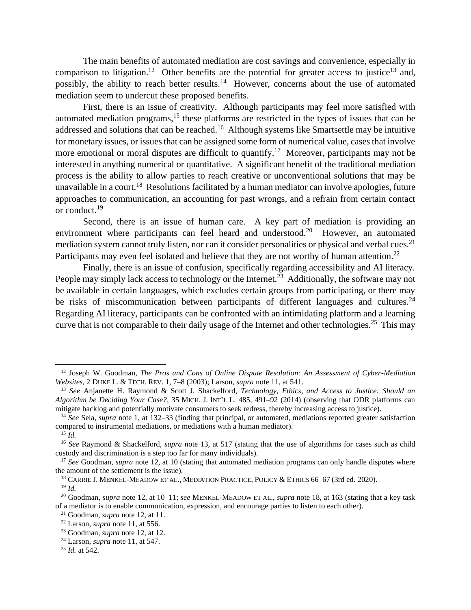The main benefits of automated mediation are cost savings and convenience, especially in comparison to litigation.<sup>12</sup> Other benefits are the potential for greater access to justice<sup>13</sup> and, possibly, the ability to reach better results.<sup>14</sup> However, concerns about the use of automated mediation seem to undercut these proposed benefits.

First, there is an issue of creativity. Although participants may feel more satisfied with automated mediation programs, $15$  these platforms are restricted in the types of issues that can be addressed and solutions that can be reached.<sup>16</sup> Although systems like Smartsettle may be intuitive for monetary issues, or issues that can be assigned some form of numerical value, cases that involve more emotional or moral disputes are difficult to quantify.<sup>17</sup> Moreover, participants may not be interested in anything numerical or quantitative. A significant benefit of the traditional mediation process is the ability to allow parties to reach creative or unconventional solutions that may be unavailable in a court.<sup>18</sup> Resolutions facilitated by a human mediator can involve apologies, future approaches to communication, an accounting for past wrongs, and a refrain from certain contact or conduct.<sup>19</sup>

Second, there is an issue of human care. A key part of mediation is providing an environment where participants can feel heard and understood.<sup>20</sup> However, an automated mediation system cannot truly listen, nor can it consider personalities or physical and verbal cues.<sup>21</sup> Participants may even feel isolated and believe that they are not worthy of human attention.<sup>22</sup>

Finally, there is an issue of confusion, specifically regarding accessibility and AI literacy. People may simply lack access to technology or the Internet.<sup>23</sup> Additionally, the software may not be available in certain languages, which excludes certain groups from participating, or there may be risks of miscommunication between participants of different languages and cultures.<sup>24</sup> Regarding AI literacy, participants can be confronted with an intimidating platform and a learning curve that is not comparable to their daily usage of the Internet and other technologies.<sup>25</sup> This may

<sup>12</sup> Joseph W. Goodman, *The Pros and Cons of Online Dispute Resolution: An Assessment of Cyber-Mediation Websites*, 2 DUKE L. & TECH. REV. 1, 7–8 (2003); Larson, *supra* note 11, at 541.

<sup>13</sup> *See* Anjanette H. Raymond & Scott J. Shackelford, *Technology, Ethics, and Access to Justice: Should an Algorithm be Deciding Your Case?*, 35 MICH. J. INT'L L. 485, 491–92 (2014) (observing that ODR platforms can mitigate backlog and potentially motivate consumers to seek redress, thereby increasing access to justice).

<sup>14</sup> *See* Sela, *supra* note 1, at 132–33 (finding that principal, or automated, mediations reported greater satisfaction compared to instrumental mediations, or mediations with a human mediator).

 $^{15}$  *Id.* 

<sup>16</sup> *See* Raymond & Shackelford, *supra* note 13, at 517 (stating that the use of algorithms for cases such as child custody and discrimination is a step too far for many individuals).

<sup>&</sup>lt;sup>17</sup> *See* Goodman, *supra* note 12, at 10 (stating that automated mediation programs can only handle disputes where the amount of the settlement is the issue).

<sup>&</sup>lt;sup>18</sup> CARRIE J. MENKEL-MEADOW ET AL., MEDIATION PRACTICE, POLICY & ETHICS 66-67 (3rd ed. 2020).

<sup>19</sup> *Id.*

<sup>20</sup> Goodman, *supra* note 12, at 10–11; *see* MENKEL-MEADOW ET AL., *supra* note 18, at 163 (stating that a key task of a mediator is to enable communication, expression, and encourage parties to listen to each other).

<sup>21</sup> Goodman, *supra* note 12, at 11.

<sup>22</sup> Larson, *supra* note 11, at 556.

<sup>23</sup> Goodman, *supra* note 12, at 12.

<sup>24</sup> Larson, *supra* note 11, at 547.

<sup>25</sup> *Id.* at 542.